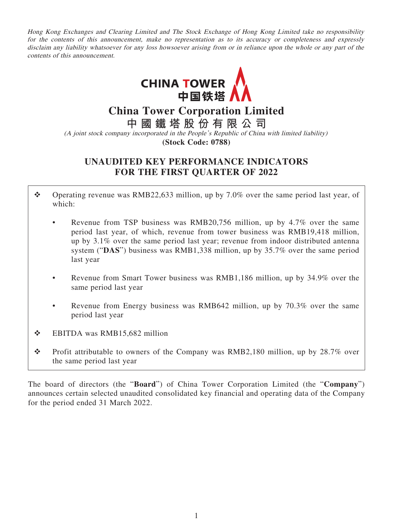Hong Kong Exchanges and Clearing Limited and The Stock Exchange of Hong Kong Limited take no responsibility for the contents of this announcement, make no representation as to its accuracy or completeness and expressly disclaim any liability whatsoever for any loss howsoever arising from or in reliance upon the whole or any part of the contents of this announcement.



**China Tower Corporation Limited**

**中國鐵塔股份有限公司**

(A joint stock company incorporated in the People's Republic of China with limited liability) **(Stock Code: 0788)**

# **UNAUDITED KEY PERFORMANCE INDICATORS FOR THE FIRST QUARTER OF 2022**

- Operating revenue was RMB22,633 million, up by 7.0% over the same period last year, of which:
	- Revenue from TSP business was RMB20,756 million, up by 4.7% over the same period last year, of which, revenue from tower business was RMB19,418 million, up by 3.1% over the same period last year; revenue from indoor distributed antenna system ("**DAS**") business was RMB1,338 million, up by 35.7% over the same period last year
	- Revenue from Smart Tower business was RMB1,186 million, up by 34.9% over the same period last year
	- Revenue from Energy business was RMB642 million, up by 70.3% over the same period last year
- EBITDA was RMB15,682 million
- \* Profit attributable to owners of the Company was RMB2,180 million, up by 28.7% over the same period last year

The board of directors (the "**Board**") of China Tower Corporation Limited (the "**Company**") announces certain selected unaudited consolidated key financial and operating data of the Company for the period ended 31 March 2022.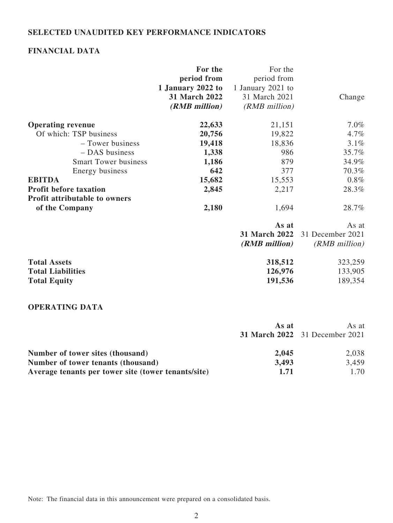### **SELECTED UNAUDITED KEY PERFORMANCE INDICATORS**

## **FINANCIAL DATA**

| period from<br>period from<br>1 January 2022 to<br>1 January 2021 to |  |
|----------------------------------------------------------------------|--|
|                                                                      |  |
|                                                                      |  |
| 31 March 2022<br>31 March 2021<br>Change                             |  |
| (RMB million)<br>(RMB million)                                       |  |
| $7.0\%$<br><b>Operating revenue</b><br>22,633<br>21,151              |  |
| Of which: TSP business<br>20,756<br>19,822<br>4.7%                   |  |
| 19,418<br>18,836<br>3.1%<br>- Tower business                         |  |
| - DAS business<br>1,338<br>986<br>35.7%                              |  |
| 1,186<br>34.9%<br><b>Smart Tower business</b><br>879                 |  |
| 642<br>70.3%<br>Energy business<br>377                               |  |
| $0.8\%$<br><b>EBITDA</b><br>15,682<br>15,553                         |  |
| 2,845<br>2,217<br><b>Profit before taxation</b><br>28.3%             |  |
| <b>Profit attributable to owners</b>                                 |  |
| of the Company<br>2,180<br>28.7%<br>1,694                            |  |
| As at<br>As at                                                       |  |
| 31 March 2022<br>31 December 2021                                    |  |
| $(RMB\;million)$<br>$(RMB$ million)                                  |  |
| <b>Total Assets</b><br>318,512<br>323,259                            |  |
| <b>Total Liabilities</b><br>126,976<br>133,905                       |  |
| <b>Total Equity</b><br>191,536<br>189,354                            |  |

## **OPERATING DATA**

|                                                     | As at<br>As at |                                       |
|-----------------------------------------------------|----------------|---------------------------------------|
|                                                     |                | <b>31 March 2022</b> 31 December 2021 |
| Number of tower sites (thousand)                    | 2,045          | 2,038                                 |
| Number of tower tenants (thousand)                  | 3,493          | 3,459                                 |
| Average tenants per tower site (tower tenants/site) | 1.71           | 1.70                                  |

Note: The financial data in this announcement were prepared on a consolidated basis.